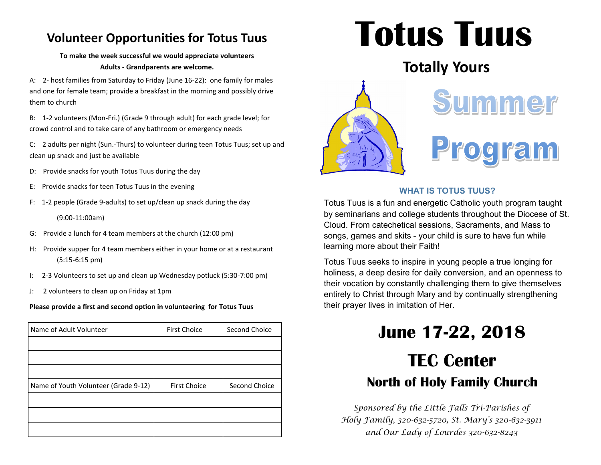### **Volunteer Opportunities for Totus Tuus**

### **To make the week successful we would appreciate volunteers Adults - Grandparents are welcome.**

A: 2- host families from Saturday to Friday (June 16-22): one family for males and one for female team; provide a breakfast in the morning and possibly drive them to church

B: 1-2 volunteers (Mon-Fri.) (Grade 9 through adult) for each grade level; for crowd control and to take care of any bathroom or emergency needs

C: 2 adults per night (Sun.-Thurs) to volunteer during teen Totus Tuus; set up and clean up snack and just be available

- D: Provide snacks for youth Totus Tuus during the day
- E: Provide snacks for teen Totus Tuus in the evening
- F: 1-2 people (Grade 9-adults) to set up/clean up snack during the day (9:00-11:00am)
- G: Provide a lunch for 4 team members at the church (12:00 pm)
- H: Provide supper for 4 team members either in your home or at a restaurant (5:15-6:15 pm)
- I: 2-3 Volunteers to set up and clean up Wednesday potluck (5:30-7:00 pm)
- J: 2 volunteers to clean up on Friday at 1pm

### **Please provide a first and second option in volunteering for Totus Tuus**

| Name of Adult Volunteer              | <b>First Choice</b> | Second Choice |
|--------------------------------------|---------------------|---------------|
|                                      |                     |               |
|                                      |                     |               |
|                                      |                     |               |
| Name of Youth Volunteer (Grade 9-12) | <b>First Choice</b> | Second Choice |
|                                      |                     |               |
|                                      |                     |               |
|                                      |                     |               |

# **Totus Tuus**

## **Totally Yours**



### **WHAT IS TOTUS TUUS?**

Totus Tuus is a fun and energetic Catholic youth program taught by seminarians and college students throughout the Diocese of St. Cloud. From catechetical sessions, Sacraments, and Mass to songs, games and skits - your child is sure to have fun while learning more about their Faith!

Totus Tuus seeks to inspire in young people a true longing for holiness, a deep desire for daily conversion, and an openness to their vocation by constantly challenging them to give themselves entirely to Christ through Mary and by continually strengthening their prayer lives in imitation of Her.

# **June 17-22, 2018 TEC Center North of Holy Family Church**

*Sponsored by the Little Falls Tri-Parishes of Holy Family, 320-632-5720, St. Mary's 320-632-3911 and Our Lady of Lourdes 320-632-8243*